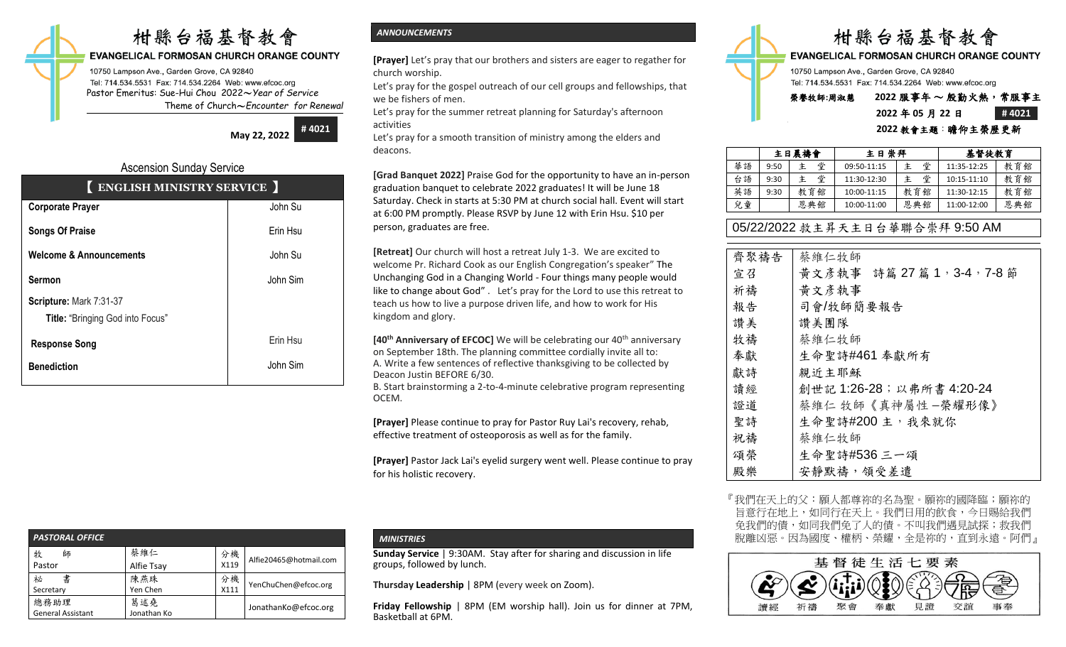# 柑縣台福基督教會

## **EVANGELICAL FORMOSAN CHURCH ORANGE COUNTY**

10750 Lampson Ave., Garden Grove, CA 92840 Tel: 714.534.5531 Fax: 714.534.2264 Web: www.efcoc.org Pastor Emeritus: Sue-Hui Chou 2022〜*Year of Service* Theme of Church〜*Encounter for Renewal*

> **May 22, 2022 # 4021**

## Ascension Sunday Service

| <b>ENGLISH MINISTRY SERVICE</b>    |          |
|------------------------------------|----------|
| <b>Corporate Prayer</b>            | John Su  |
| <b>Songs Of Praise</b>             | Erin Hsu |
| <b>Welcome &amp; Announcements</b> | John Su  |
| <b>Sermon</b>                      | John Sim |
| Scripture: Mark 7:31-37            |          |
| Title: "Bringing God into Focus"   |          |
| <b>Response Song</b>               | Erin Hsu |
| <b>Benediction</b>                 | John Sim |

| <b>PASTORAL OFFICE</b>           |                    |            |                        |
|----------------------------------|--------------------|------------|------------------------|
| 牧<br>師<br>Pastor                 | 蔡維仁<br>Alfie Tsay  | 分機<br>X119 | Alfie20465@hotmail.com |
| 書<br>祕<br>Secretary              | 陳燕珠<br>Yen Chen    | 分機<br>X111 | YenChuChen@efcoc.org   |
| 總務助理<br><b>General Assistant</b> | 葛述堯<br>Jonathan Ko |            | JonathanKo@efcoc.org   |

## *ANNOUNCEMENTS*

**[Prayer]** Let's pray that our brothers and sisters are eager to regather for church worship.

Let's pray for the gospel outreach of our cell groups and fellowships, that we be fishers of men.

Let's pray for the summer retreat planning for Saturday's afternoon activities

Let's pray for a smooth transition of ministry among the elders and deacons.

**[Grad Banquet 2022]** Praise God for the opportunity to have an in-person graduation banquet to celebrate 2022 graduates! It will be June 18 Saturday. Check in starts at 5:30 PM at church social hall. Event will start at 6:00 PM promptly. Please RSVP by June 12 with Erin Hsu. \$10 per person, graduates are free.

**[Retreat]** Our church will host a retreat July 1-3. We are excited to welcome Pr. Richard Cook as our English Congregation's speaker" The Unchanging God in a Changing World - Four things many people would like to change about God" . Let's pray for the Lord to use this retreat to teach us how to live a purpose driven life, and how to work for His kingdom and glory.

**[40th Anniversary of EFCOC]** We will be celebrating our 40th anniversary on September 18th. The planning committee cordially invite all to: A. Write a few sentences of reflective thanksgiving to be collected by Deacon Justin BEFORE 6/30.

B. Start brainstorming a 2-to-4-minute celebrative program representing OCEM.

**[Prayer]** Please continue to pray for Pastor Ruy Lai's recovery, rehab, effective treatment of osteoporosis as well as for the family.

**[Prayer]** Pastor Jack Lai's eyelid surgery went well. Please continue to pray for his holistic recovery.

## *MINISTRIES*

**Sunday Service** | 9:30AM. Stay after for sharing and discussion in life groups, followed by lunch.

**Thursday Leadership** | 8PM (every week on Zoom).

**Friday Fellowship** | 8PM (EM worship hall). Join us for dinner at 7PM, Basketball at 6PM.



## **2022** 年 **05** 月 **22** 日 **# 4021 2022** 教會主題:瞻仰主榮歷更新

|    | 主日崇拜<br>主日晨禱會 |        |             | 基督徒教育 |             |     |
|----|---------------|--------|-------------|-------|-------------|-----|
| 華語 | 9:50          | 堂<br>主 | 09:50-11:15 | 堂     | 11:35-12:25 | 教育館 |
| 台語 | 9:30          | 堂<br>主 | 11:30-12:30 | 堂     | 10:15-11:10 | 教育館 |
| 英語 | 9:30          | 教育館    | 10:00-11:15 | 教育館   | 11:30-12:15 | 教育館 |
| 兒童 |               | 恩典館    | 10:00-11:00 | 恩典館   | 11:00-12:00 | 恩典館 |

## 05/22/2022 救主昇天主日台華聯合崇拜 9:50 AM

| 齊聚禱告 | 蔡維仁牧師                       |
|------|-----------------------------|
| 宣召   | 黃文彥執事 詩篇 27 篇 1, 3-4, 7-8 節 |
| 祈禱   | 黄文彦執事                       |
| 報告   | 司會/牧師簡要報告                   |
| 讚美   | 讚美團隊                        |
| 牧禱   | 蔡維仁牧師                       |
| 奉獻   | 生命聖詩#461 奉獻所有               |
| 獻詩   | 親近主耶穌                       |
| 讀經   | 創世記 1:26-28; 以弗所書 4:20-24   |
| 證道   | 蔡維仁 牧師《真神屬性 -榮耀形像》          |
| 聖詩   | 生命聖詩#200 主, 我來就你            |
| 祝禱   | 蔡維仁牧師                       |
| 頌榮   | 生命聖詩#536 三一頌                |
| 殿樂   | 安靜默禱,領受差遣                   |

『我們在天上的父:願人都尊祢的名為聖。願祢的國降臨; 旨意行在地上,如同行在天上。我們日用的飲食,今日賜給我們 免我們的債,如同我們免了人的債。不叫我們遇見試探;救我們 脫離凶惡。因為國度、權柄、榮耀,全是祢的,直到永遠。阿們』